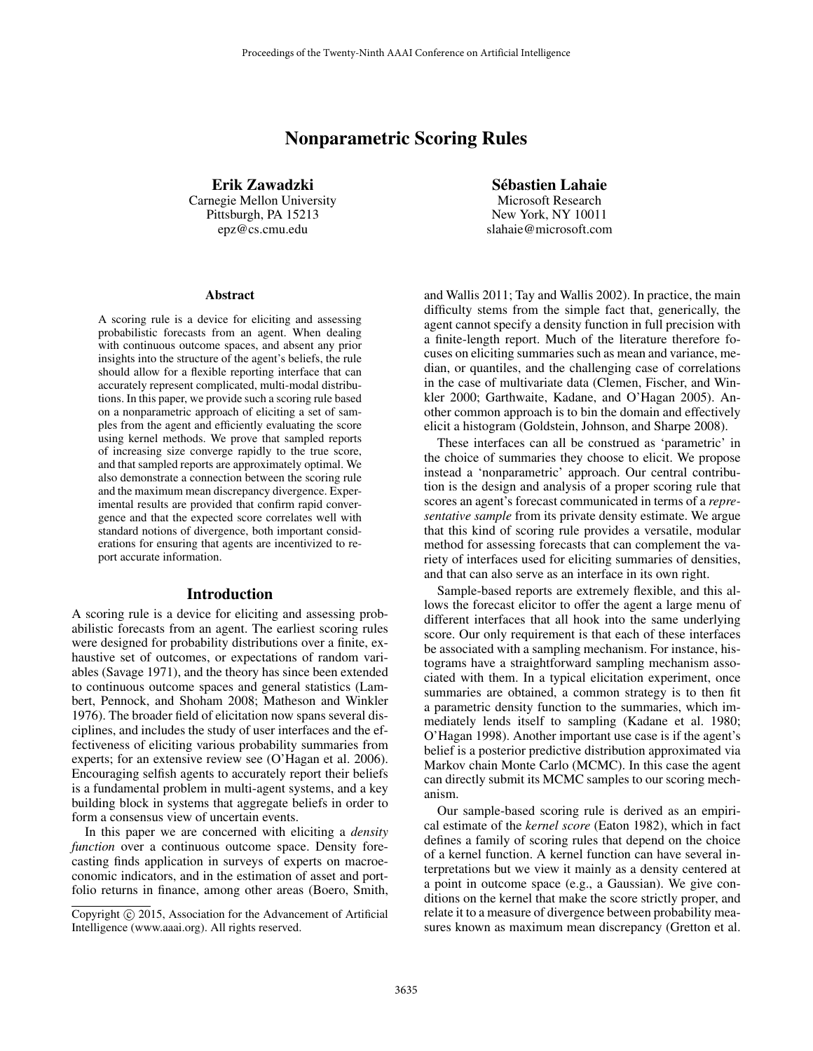# Nonparametric Scoring Rules

Erik Zawadzki Carnegie Mellon University Pittsburgh, PA 15213 epz@cs.cmu.edu

#### **Abstract**

A scoring rule is a device for eliciting and assessing probabilistic forecasts from an agent. When dealing with continuous outcome spaces, and absent any prior insights into the structure of the agent's beliefs, the rule should allow for a flexible reporting interface that can accurately represent complicated, multi-modal distributions. In this paper, we provide such a scoring rule based on a nonparametric approach of eliciting a set of samples from the agent and efficiently evaluating the score using kernel methods. We prove that sampled reports of increasing size converge rapidly to the true score, and that sampled reports are approximately optimal. We also demonstrate a connection between the scoring rule and the maximum mean discrepancy divergence. Experimental results are provided that confirm rapid convergence and that the expected score correlates well with standard notions of divergence, both important considerations for ensuring that agents are incentivized to report accurate information.

### Introduction

A scoring rule is a device for eliciting and assessing probabilistic forecasts from an agent. The earliest scoring rules were designed for probability distributions over a finite, exhaustive set of outcomes, or expectations of random variables (Savage 1971), and the theory has since been extended to continuous outcome spaces and general statistics (Lambert, Pennock, and Shoham 2008; Matheson and Winkler 1976). The broader field of elicitation now spans several disciplines, and includes the study of user interfaces and the effectiveness of eliciting various probability summaries from experts; for an extensive review see (O'Hagan et al. 2006). Encouraging selfish agents to accurately report their beliefs is a fundamental problem in multi-agent systems, and a key building block in systems that aggregate beliefs in order to form a consensus view of uncertain events.

In this paper we are concerned with eliciting a *density function* over a continuous outcome space. Density forecasting finds application in surveys of experts on macroeconomic indicators, and in the estimation of asset and portfolio returns in finance, among other areas (Boero, Smith,

Sebastien Lahaie ´

Microsoft Research New York, NY 10011 slahaie@microsoft.com

and Wallis 2011; Tay and Wallis 2002). In practice, the main difficulty stems from the simple fact that, generically, the agent cannot specify a density function in full precision with a finite-length report. Much of the literature therefore focuses on eliciting summaries such as mean and variance, median, or quantiles, and the challenging case of correlations in the case of multivariate data (Clemen, Fischer, and Winkler 2000; Garthwaite, Kadane, and O'Hagan 2005). Another common approach is to bin the domain and effectively elicit a histogram (Goldstein, Johnson, and Sharpe 2008).

These interfaces can all be construed as 'parametric' in the choice of summaries they choose to elicit. We propose instead a 'nonparametric' approach. Our central contribution is the design and analysis of a proper scoring rule that scores an agent's forecast communicated in terms of a *representative sample* from its private density estimate. We argue that this kind of scoring rule provides a versatile, modular method for assessing forecasts that can complement the variety of interfaces used for eliciting summaries of densities, and that can also serve as an interface in its own right.

Sample-based reports are extremely flexible, and this allows the forecast elicitor to offer the agent a large menu of different interfaces that all hook into the same underlying score. Our only requirement is that each of these interfaces be associated with a sampling mechanism. For instance, histograms have a straightforward sampling mechanism associated with them. In a typical elicitation experiment, once summaries are obtained, a common strategy is to then fit a parametric density function to the summaries, which immediately lends itself to sampling (Kadane et al. 1980; O'Hagan 1998). Another important use case is if the agent's belief is a posterior predictive distribution approximated via Markov chain Monte Carlo (MCMC). In this case the agent can directly submit its MCMC samples to our scoring mechanism.

Our sample-based scoring rule is derived as an empirical estimate of the *kernel score* (Eaton 1982), which in fact defines a family of scoring rules that depend on the choice of a kernel function. A kernel function can have several interpretations but we view it mainly as a density centered at a point in outcome space (e.g., a Gaussian). We give conditions on the kernel that make the score strictly proper, and relate it to a measure of divergence between probability measures known as maximum mean discrepancy (Gretton et al.

Copyright © 2015, Association for the Advancement of Artificial Intelligence (www.aaai.org). All rights reserved.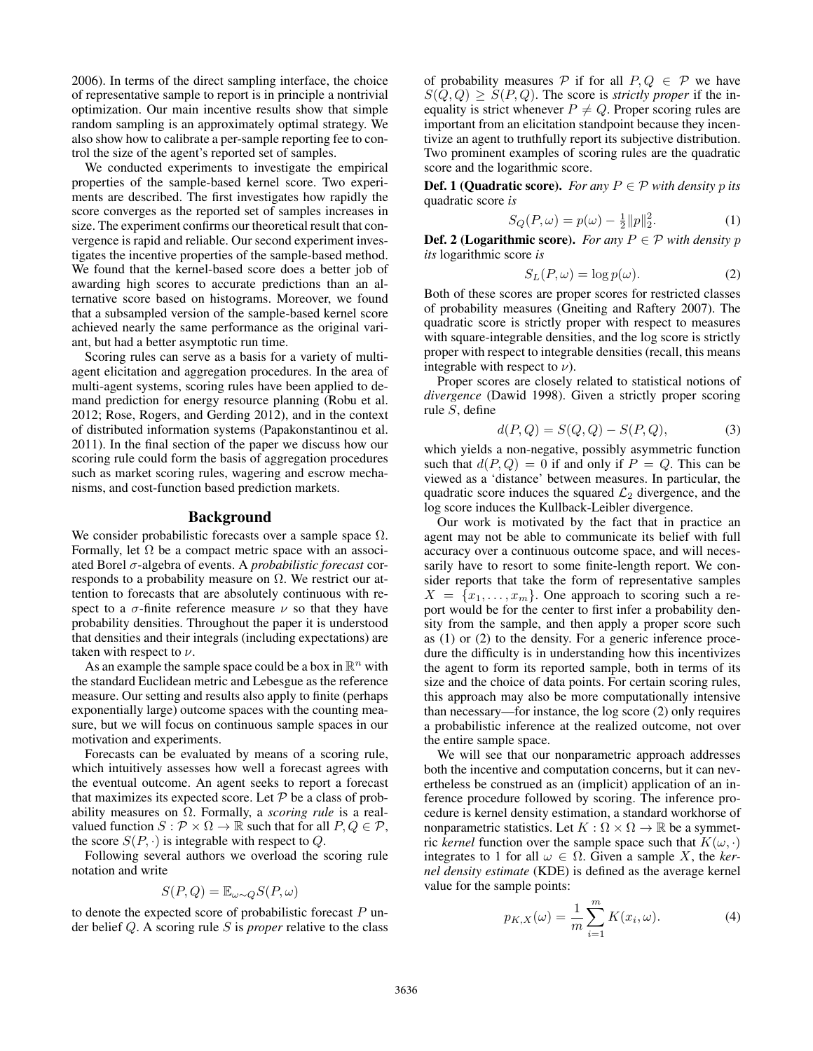2006). In terms of the direct sampling interface, the choice of representative sample to report is in principle a nontrivial optimization. Our main incentive results show that simple random sampling is an approximately optimal strategy. We also show how to calibrate a per-sample reporting fee to control the size of the agent's reported set of samples.

We conducted experiments to investigate the empirical properties of the sample-based kernel score. Two experiments are described. The first investigates how rapidly the score converges as the reported set of samples increases in size. The experiment confirms our theoretical result that convergence is rapid and reliable. Our second experiment investigates the incentive properties of the sample-based method. We found that the kernel-based score does a better job of awarding high scores to accurate predictions than an alternative score based on histograms. Moreover, we found that a subsampled version of the sample-based kernel score achieved nearly the same performance as the original variant, but had a better asymptotic run time.

Scoring rules can serve as a basis for a variety of multiagent elicitation and aggregation procedures. In the area of multi-agent systems, scoring rules have been applied to demand prediction for energy resource planning (Robu et al. 2012; Rose, Rogers, and Gerding 2012), and in the context of distributed information systems (Papakonstantinou et al. 2011). In the final section of the paper we discuss how our scoring rule could form the basis of aggregation procedures such as market scoring rules, wagering and escrow mechanisms, and cost-function based prediction markets.

### Background

We consider probabilistic forecasts over a sample space  $\Omega$ . Formally, let  $\Omega$  be a compact metric space with an associated Borel σ-algebra of events. A *probabilistic forecast* corresponds to a probability measure on  $\Omega$ . We restrict our attention to forecasts that are absolutely continuous with respect to a  $\sigma$ -finite reference measure  $\nu$  so that they have probability densities. Throughout the paper it is understood that densities and their integrals (including expectations) are taken with respect to  $\nu$ .

As an example the sample space could be a box in  $\mathbb{R}^n$  with the standard Euclidean metric and Lebesgue as the reference measure. Our setting and results also apply to finite (perhaps exponentially large) outcome spaces with the counting measure, but we will focus on continuous sample spaces in our motivation and experiments.

Forecasts can be evaluated by means of a scoring rule, which intuitively assesses how well a forecast agrees with the eventual outcome. An agent seeks to report a forecast that maximizes its expected score. Let  $P$  be a class of probability measures on Ω. Formally, a *scoring rule* is a realvalued function  $S : \mathcal{P} \times \Omega \to \mathbb{R}$  such that for all  $P, Q \in \mathcal{P}$ , the score  $S(P, \cdot)$  is integrable with respect to Q.

Following several authors we overload the scoring rule notation and write

$$
S(P,Q) = \mathbb{E}_{\omega \sim Q} S(P,\omega)
$$

to denote the expected score of probabilistic forecast  $P$  under belief Q. A scoring rule S is *proper* relative to the class

of probability measures P if for all  $P, Q \in \mathcal{P}$  we have  $S(Q, Q) \geq S(P, Q)$ . The score is *strictly proper* if the inequality is strict whenever  $P \neq Q$ . Proper scoring rules are important from an elicitation standpoint because they incentivize an agent to truthfully report its subjective distribution. Two prominent examples of scoring rules are the quadratic score and the logarithmic score.

**Def. 1 (Quadratic score).** *For any*  $P \in \mathcal{P}$  *with density p its* quadratic score *is*

$$
S_Q(P,\omega) = p(\omega) - \frac{1}{2} ||p||_2^2.
$$
 (1)

**Def. 2 (Logarithmic score).** *For any*  $P \in \mathcal{P}$  *with density*  $p$ *its* logarithmic score *is*

$$
S_L(P,\omega) = \log p(\omega). \tag{2}
$$

Both of these scores are proper scores for restricted classes of probability measures (Gneiting and Raftery 2007). The quadratic score is strictly proper with respect to measures with square-integrable densities, and the log score is strictly proper with respect to integrable densities (recall, this means integrable with respect to  $\nu$ ).

Proper scores are closely related to statistical notions of *divergence* (Dawid 1998). Given a strictly proper scoring rule S, define

$$
d(P, Q) = S(Q, Q) - S(P, Q),
$$
 (3)

which yields a non-negative, possibly asymmetric function such that  $d(P,Q) = 0$  if and only if  $P = Q$ . This can be viewed as a 'distance' between measures. In particular, the quadratic score induces the squared  $\mathcal{L}_2$  divergence, and the log score induces the Kullback-Leibler divergence.

Our work is motivated by the fact that in practice an agent may not be able to communicate its belief with full accuracy over a continuous outcome space, and will necessarily have to resort to some finite-length report. We consider reports that take the form of representative samples  $X = \{x_1, \ldots, x_m\}$ . One approach to scoring such a report would be for the center to first infer a probability density from the sample, and then apply a proper score such as (1) or (2) to the density. For a generic inference procedure the difficulty is in understanding how this incentivizes the agent to form its reported sample, both in terms of its size and the choice of data points. For certain scoring rules, this approach may also be more computationally intensive than necessary—for instance, the log score (2) only requires a probabilistic inference at the realized outcome, not over the entire sample space.

We will see that our nonparametric approach addresses both the incentive and computation concerns, but it can nevertheless be construed as an (implicit) application of an inference procedure followed by scoring. The inference procedure is kernel density estimation, a standard workhorse of nonparametric statistics. Let  $K : \Omega \times \Omega \to \mathbb{R}$  be a symmetric *kernel* function over the sample space such that  $K(\omega, \cdot)$ integrates to 1 for all  $\omega \in \Omega$ . Given a sample X, the *kernel density estimate* (KDE) is defined as the average kernel value for the sample points:

$$
p_{K,X}(\omega) = \frac{1}{m} \sum_{i=1}^{m} K(x_i, \omega).
$$
 (4)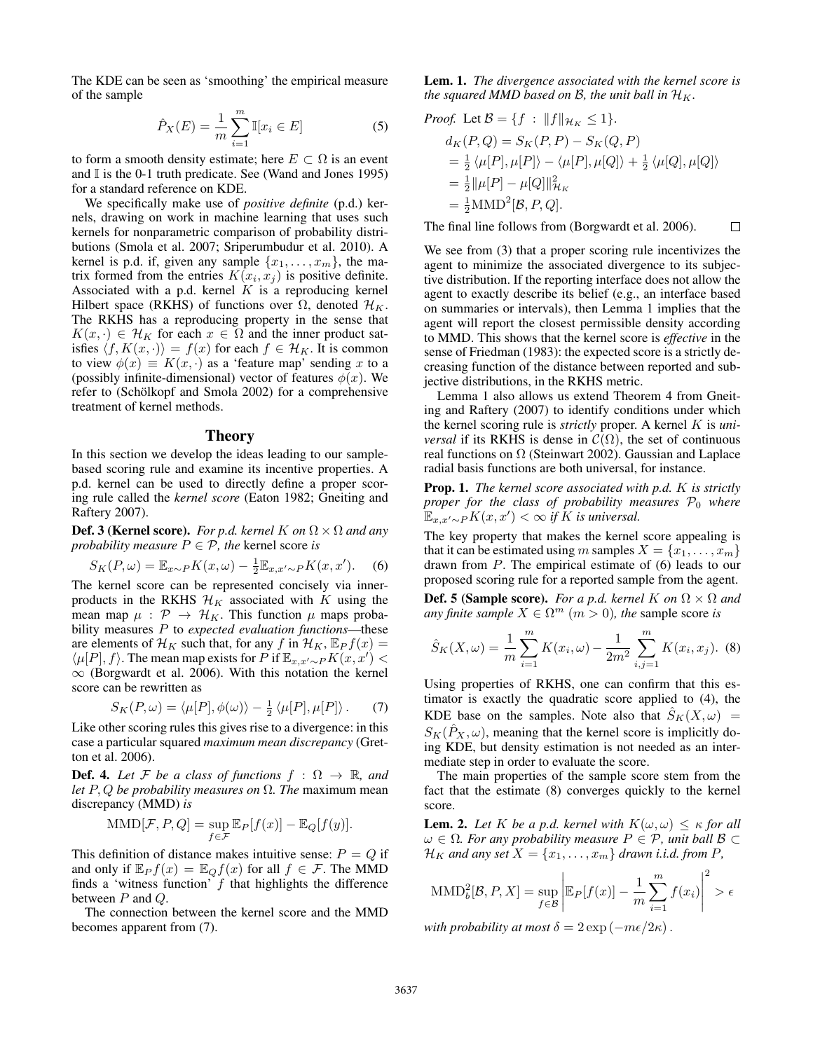The KDE can be seen as 'smoothing' the empirical measure of the sample

$$
\hat{P}_X(E) = \frac{1}{m} \sum_{i=1}^{m} \mathbb{I}[x_i \in E]
$$
 (5)

to form a smooth density estimate; here  $E \subset \Omega$  is an event and  $\mathbb{I}$  is the 0-1 truth predicate. See (Wand and Jones 1995) for a standard reference on KDE.

We specifically make use of *positive definite* (p.d.) kernels, drawing on work in machine learning that uses such kernels for nonparametric comparison of probability distributions (Smola et al. 2007; Sriperumbudur et al. 2010). A kernel is p.d. if, given any sample  $\{x_1, \ldots, x_m\}$ , the matrix formed from the entries  $K(x_i, x_j)$  is positive definite. Associated with a p.d. kernel  $K$  is a reproducing kernel Hilbert space (RKHS) of functions over  $\Omega$ , denoted  $\mathcal{H}_K$ . The RKHS has a reproducing property in the sense that  $K(x, \cdot) \in \mathcal{H}_K$  for each  $x \in \Omega$  and the inner product satisfies  $\langle f, K(x, \cdot) \rangle = f(x)$  for each  $f \in \mathcal{H}_K$ . It is common to view  $\phi(x) \equiv K(x, \cdot)$  as a 'feature map' sending x to a (possibly infinite-dimensional) vector of features  $\phi(x)$ . We refer to (Schölkopf and Smola 2002) for a comprehensive treatment of kernel methods.

#### **Theory**

In this section we develop the ideas leading to our samplebased scoring rule and examine its incentive properties. A p.d. kernel can be used to directly define a proper scoring rule called the *kernel score* (Eaton 1982; Gneiting and Raftery 2007).

**Def. 3 (Kernel score).** *For p.d. kernel K on*  $\Omega \times \Omega$  *and any probability measure*  $P \in \mathcal{P}$ *, the* kernel score *is* 

$$
S_K(P,\omega) = \mathbb{E}_{x \sim P} K(x,\omega) - \frac{1}{2} \mathbb{E}_{x,x' \sim P} K(x,x').
$$
 (6)

The kernel score can be represented concisely via innerproducts in the RKHS  $\mathcal{H}_K$  associated with K using the mean map  $\mu$  :  $\mathcal{P} \rightarrow \mathcal{H}_K$ . This function  $\mu$  maps probability measures P to *expected evaluation functions*—these are elements of  $\mathcal{H}_K$  such that, for any f in  $\mathcal{H}_K$ ,  $\mathbb{E}_P f(x) =$  $\langle \mu[P], f \rangle$ . The mean map exists for P if  $\mathbb{E}_{x,x'\sim P}K(x, x')$  <  $\infty$  (Borgwardt et al. 2006). With this notation the kernel score can be rewritten as

$$
S_K(P,\omega) = \langle \mu[P], \phi(\omega) \rangle - \frac{1}{2} \langle \mu[P], \mu[P] \rangle. \tag{7}
$$

Like other scoring rules this gives rise to a divergence: in this case a particular squared *maximum mean discrepancy* (Gretton et al. 2006).

**Def. 4.** Let F be a class of functions  $f : \Omega \to \mathbb{R}$ , and *let* P, Q *be probability measures on* Ω*. The* maximum mean discrepancy (MMD) *is*

$$
\text{MMD}[\mathcal{F}, P, Q] = \sup_{f \in \mathcal{F}} \mathbb{E}_P[f(x)] - \mathbb{E}_Q[f(y)].
$$

This definition of distance makes intuitive sense:  $P = Q$  if and only if  $\mathbb{E}_P f(x) = \mathbb{E}_Q f(x)$  for all  $f \in \mathcal{F}$ . The MMD finds a 'witness function'  $f$  that highlights the difference between  $P$  and  $Q$ .

The connection between the kernel score and the MMD becomes apparent from (7).

Lem. 1. *The divergence associated with the kernel score is the squared MMD based on B, the unit ball in*  $\mathcal{H}_K$ .

*Proof.* Let 
$$
\mathcal{B} = \{f : ||f||_{\mathcal{H}_K} \le 1\}
$$
.  
\n
$$
d_K(P,Q) = S_K(P,P) - S_K(Q,P)
$$
\n
$$
= \frac{1}{2} \langle \mu[P], \mu[P] \rangle - \langle \mu[P], \mu[Q] \rangle + \frac{1}{2} \langle \mu[Q], \mu[Q] \rangle
$$
\n
$$
= \frac{1}{2} ||\mu[P] - \mu[Q]||_{\mathcal{H}_K}^2
$$
\n
$$
= \frac{1}{2} \text{MMD}^2[\mathcal{B}, P, Q].
$$

The final line follows from (Borgwardt et al. 2006).  $\Box$ 

We see from (3) that a proper scoring rule incentivizes the agent to minimize the associated divergence to its subjective distribution. If the reporting interface does not allow the agent to exactly describe its belief (e.g., an interface based on summaries or intervals), then Lemma 1 implies that the agent will report the closest permissible density according to MMD. This shows that the kernel score is *effective* in the sense of Friedman (1983): the expected score is a strictly decreasing function of the distance between reported and subjective distributions, in the RKHS metric.

Lemma 1 also allows us extend Theorem 4 from Gneiting and Raftery (2007) to identify conditions under which the kernel scoring rule is *strictly* proper. A kernel K is *universal* if its RKHS is dense in  $C(\Omega)$ , the set of continuous real functions on  $\Omega$  (Steinwart 2002). Gaussian and Laplace radial basis functions are both universal, for instance.

Prop. 1. *The kernel score associated with p.d.* K *is strictly proper for the class of probability measures*  $P_0$  *where*  $\mathbb{E}_{x,x'\sim P} K(x,x') < \infty$  *if* K *is universal.* 

The key property that makes the kernel score appealing is that it can be estimated using m samples  $X = \{x_1, \ldots, x_m\}$ drawn from P. The empirical estimate of (6) leads to our proposed scoring rule for a reported sample from the agent.

**Def. 5 (Sample score).** *For a p.d. kernel* K *on*  $\Omega \times \Omega$  *and any finite sample*  $X \in \Omega^m$   $(m > 0)$ *, the sample score is* 

$$
\hat{S}_K(X,\omega) = \frac{1}{m} \sum_{i=1}^m K(x_i,\omega) - \frac{1}{2m^2} \sum_{i,j=1}^m K(x_i,x_j). \tag{8}
$$

Using properties of RKHS, one can confirm that this estimator is exactly the quadratic score applied to (4), the KDE base on the samples. Note also that  $S_K(X,\omega)$  =  $S_K(\hat{P}_X,\omega)$ , meaning that the kernel score is implicitly doing KDE, but density estimation is not needed as an intermediate step in order to evaluate the score.

The main properties of the sample score stem from the fact that the estimate (8) converges quickly to the kernel score.

**Lem. 2.** Let K be a p.d. kernel with  $K(\omega, \omega) \leq \kappa$  for all  $\omega \in \Omega$ *. For any probability measure*  $P \in \mathcal{P}$ *, unit ball*  $\mathcal{B} \subset$  $\mathcal{H}_K$  *and any set*  $X = \{x_1, \ldots, x_m\}$  *drawn i.i.d. from P,* 

$$
\text{MMD}_{b}^{2}[\mathcal{B}, P, X] = \sup_{f \in \mathcal{B}} \left| \mathbb{E}_{P}[f(x)] - \frac{1}{m} \sum_{i=1}^{m} f(x_{i}) \right|^{2} > \epsilon
$$

*with probability at most*  $\delta = 2 \exp(-m\epsilon/2\kappa)$ .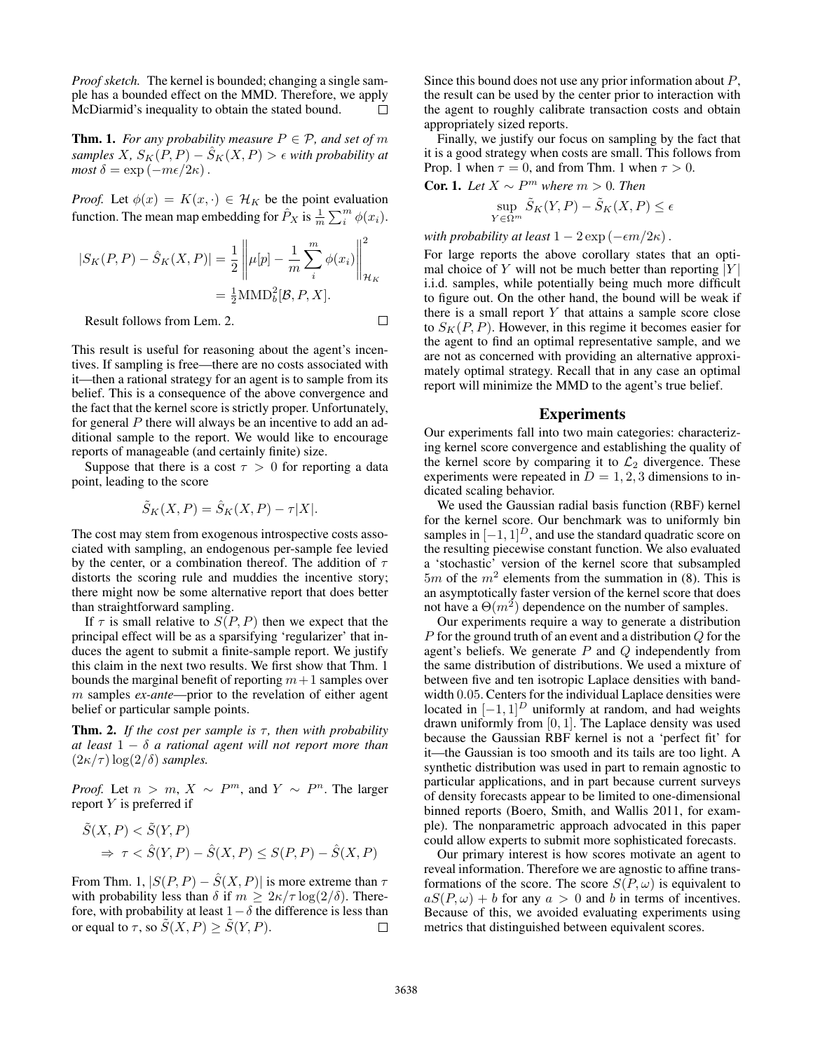*Proof sketch.* The kernel is bounded; changing a single sample has a bounded effect on the MMD. Therefore, we apply McDiarmid's inequality to obtain the stated bound. П

**Thm. 1.** *For any probability measure*  $P \in \mathcal{P}$ *, and set of m samples* X,  $S_K(P, P) - \hat{S}_K(X, P) > \epsilon$  with probability at  $most \delta = \exp(-m\epsilon/2\kappa)$ .

*Proof.* Let  $\phi(x) = K(x, \cdot) \in \mathcal{H}_K$  be the point evaluation function. The mean map embedding for  $\hat{P}_X$  is  $\frac{1}{m} \sum_i^m \phi(x_i)$ .

$$
|S_K(P, P) - \hat{S}_K(X, P)| = \frac{1}{2} \left\| \mu[p] - \frac{1}{m} \sum_{i}^{m} \phi(x_i) \right\|_{\mathcal{H}_K}^2
$$
  
=  $\frac{1}{2} \text{MMD}_b^2[\mathcal{B}, P, X].$ 

Result follows from Lem. 2.

$$
\square
$$

This result is useful for reasoning about the agent's incentives. If sampling is free—there are no costs associated with it—then a rational strategy for an agent is to sample from its belief. This is a consequence of the above convergence and the fact that the kernel score is strictly proper. Unfortunately, for general  $P$  there will always be an incentive to add an additional sample to the report. We would like to encourage reports of manageable (and certainly finite) size.

Suppose that there is a cost  $\tau > 0$  for reporting a data point, leading to the score

$$
\tilde{S}_K(X, P) = \hat{S}_K(X, P) - \tau |X|.
$$

The cost may stem from exogenous introspective costs associated with sampling, an endogenous per-sample fee levied by the center, or a combination thereof. The addition of  $\tau$ distorts the scoring rule and muddies the incentive story; there might now be some alternative report that does better than straightforward sampling.

If  $\tau$  is small relative to  $S(P, P)$  then we expect that the principal effect will be as a sparsifying 'regularizer' that induces the agent to submit a finite-sample report. We justify this claim in the next two results. We first show that Thm. 1 bounds the marginal benefit of reporting  $m+1$  samples over m samples *ex-ante*—prior to the revelation of either agent belief or particular sample points.

**Thm. 2.** *If the cost per sample is*  $\tau$ *, then with probability at least* 1 − δ *a rational agent will not report more than*  $(2\kappa/\tau) \log(2/\delta)$  *samples.* 

*Proof.* Let  $n > m$ ,  $X \sim P^m$ , and  $Y \sim P^n$ . The larger report Y is preferred if

$$
\tilde{S}(X, P) < \tilde{S}(Y, P) \\
\Rightarrow \tau < \hat{S}(Y, P) - \hat{S}(X, P) \le S(P, P) - \hat{S}(X, P)
$$

From Thm. 1,  $|S(P, P) - \hat{S}(X, P)|$  is more extreme than  $\tau$ with probability less than  $\delta$  if  $m \geq 2\kappa/\tau \log(2/\delta)$ . Therefore, with probability at least  $1-\delta$  the difference is less than or equal to  $\tau$ , so  $\tilde{S}(X, P) \ge \tilde{S}(Y, P)$ .  $\Box$ 

Since this bound does not use any prior information about  $P$ , the result can be used by the center prior to interaction with the agent to roughly calibrate transaction costs and obtain appropriately sized reports.

Finally, we justify our focus on sampling by the fact that it is a good strategy when costs are small. This follows from Prop. 1 when  $\tau = 0$ , and from Thm. 1 when  $\tau > 0$ .

**Cor. 1.** Let 
$$
X \sim P^m
$$
 where  $m > 0$ . Then  
\n
$$
\sup_{Y \in \Omega^m} \tilde{S}_K(Y, P) - \tilde{S}_K(X, P) \le \epsilon
$$

*with probability at least*  $1 - 2 \exp(-\epsilon m/2\kappa)$ .

For large reports the above corollary states that an optimal choice of Y will not be much better than reporting  $|Y|$ i.i.d. samples, while potentially being much more difficult to figure out. On the other hand, the bound will be weak if there is a small report  $Y$  that attains a sample score close to  $S_K(P, P)$ . However, in this regime it becomes easier for the agent to find an optimal representative sample, and we are not as concerned with providing an alternative approximately optimal strategy. Recall that in any case an optimal report will minimize the MMD to the agent's true belief.

#### Experiments

Our experiments fall into two main categories: characterizing kernel score convergence and establishing the quality of the kernel score by comparing it to  $\mathcal{L}_2$  divergence. These experiments were repeated in  $D = 1, 2, 3$  dimensions to indicated scaling behavior.

We used the Gaussian radial basis function (RBF) kernel for the kernel score. Our benchmark was to uniformly bin samples in  $[-1, 1]^D$ , and use the standard quadratic score on the resulting piecewise constant function. We also evaluated a 'stochastic' version of the kernel score that subsampled  $5m$  of the  $m^2$  elements from the summation in (8). This is an asymptotically faster version of the kernel score that does not have a  $\Theta(m^2)$  dependence on the number of samples.

Our experiments require a way to generate a distribution P for the ground truth of an event and a distribution Q for the agent's beliefs. We generate  $P$  and  $Q$  independently from the same distribution of distributions. We used a mixture of between five and ten isotropic Laplace densities with bandwidth 0.05. Centers for the individual Laplace densities were located in  $[-1, 1]^D$  uniformly at random, and had weights drawn uniformly from [0, 1]. The Laplace density was used because the Gaussian RBF kernel is not a 'perfect fit' for it—the Gaussian is too smooth and its tails are too light. A synthetic distribution was used in part to remain agnostic to particular applications, and in part because current surveys of density forecasts appear to be limited to one-dimensional binned reports (Boero, Smith, and Wallis 2011, for example). The nonparametric approach advocated in this paper could allow experts to submit more sophisticated forecasts.

Our primary interest is how scores motivate an agent to reveal information. Therefore we are agnostic to affine transformations of the score. The score  $S(P, \omega)$  is equivalent to  $aS(P, \omega) + b$  for any  $a > 0$  and b in terms of incentives. Because of this, we avoided evaluating experiments using metrics that distinguished between equivalent scores.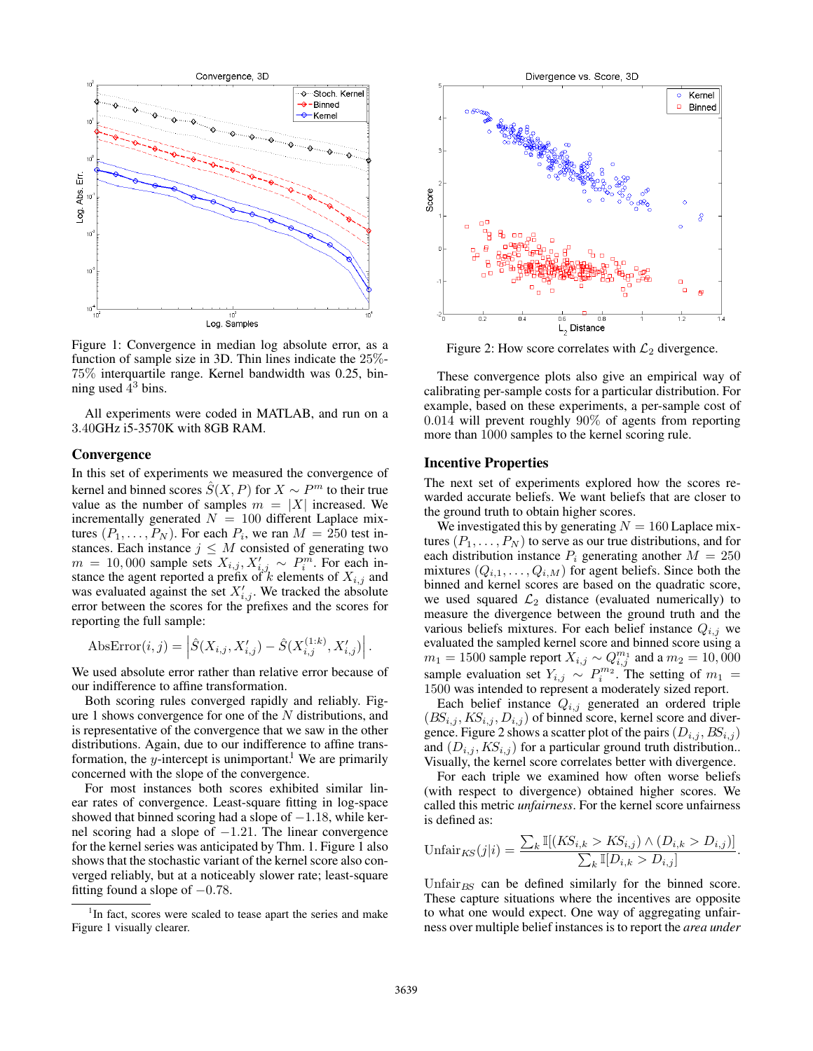

Figure 1: Convergence in median log absolute error, as a function of sample size in 3D. Thin lines indicate the 25%- 75% interquartile range. Kernel bandwidth was 0.25, binning used  $\frac{1}{4}$ <sup>3</sup> bins.

All experiments were coded in MATLAB, and run on a 3.40GHz i5-3570K with 8GB RAM.

#### **Convergence**

In this set of experiments we measured the convergence of kernel and binned scores  $\hat{S}(X, P)$  for  $X \sim P^m$  to their true value as the number of samples  $m = |X|$  increased. We incrementally generated  $N = 100$  different Laplace mixtures  $(P_1, \ldots, P_N)$ . For each  $P_i$ , we ran  $M = 250$  test instances. Each instance  $j \leq M$  consisted of generating two  $m = 10,000$  sample sets  $X_{i,j}, X'_{i,j} \sim P_i^m$ . For each instance the agent reported a prefix of  $k$  elements of  $X_{i,j}$  and was evaluated against the set  $X'_{i,j}$ . We tracked the absolute error between the scores for the prefixes and the scores for reporting the full sample:

AbsError
$$
(i, j) = \left| \hat{S}(X_{i,j}, X'_{i,j}) - \hat{S}(X^{(1:k)}_{i,j}, X'_{i,j}) \right|.
$$

We used absolute error rather than relative error because of our indifference to affine transformation.

Both scoring rules converged rapidly and reliably. Figure 1 shows convergence for one of the  $N$  distributions, and is representative of the convergence that we saw in the other distributions. Again, due to our indifference to affine transformation, the y-intercept is unimportant.<sup>1</sup> We are primarily concerned with the slope of the convergence.

For most instances both scores exhibited similar linear rates of convergence. Least-square fitting in log-space showed that binned scoring had a slope of  $-1.18$ , while kernel scoring had a slope of −1.21. The linear convergence for the kernel series was anticipated by Thm. 1. Figure 1 also shows that the stochastic variant of the kernel score also converged reliably, but at a noticeably slower rate; least-square fitting found a slope of  $-0.78$ .



Figure 2: How score correlates with  $\mathcal{L}_2$  divergence.

These convergence plots also give an empirical way of calibrating per-sample costs for a particular distribution. For example, based on these experiments, a per-sample cost of 0.014 will prevent roughly 90% of agents from reporting more than 1000 samples to the kernel scoring rule.

#### Incentive Properties

The next set of experiments explored how the scores rewarded accurate beliefs. We want beliefs that are closer to the ground truth to obtain higher scores.

We investigated this by generating  $N = 160$  Laplace mixtures  $(P_1, \ldots, P_N)$  to serve as our true distributions, and for each distribution instance  $P_i$  generating another  $M = 250$ mixtures  $(Q_{i,1}, \ldots, Q_{i,M})$  for agent beliefs. Since both the binned and kernel scores are based on the quadratic score, we used squared  $\mathcal{L}_2$  distance (evaluated numerically) to measure the divergence between the ground truth and the various beliefs mixtures. For each belief instance  $Q_{i,j}$  we evaluated the sampled kernel score and binned score using a  $m_1 = 1500$  sample report  $X_{i,j} \sim Q_{i,j}^{m_1}$  and a  $m_2 = 10,000$ sample evaluation set  $Y_{i,j} \sim P_i^{m_2}$ . The setting of  $m_1 =$ 1500 was intended to represent a moderately sized report.

Each belief instance  $Q_{i,j}$  generated an ordered triple  $(BS_{i,j}, KS_{i,j}, D_{i,j})$  of binned score, kernel score and divergence. Figure 2 shows a scatter plot of the pairs  $(D_{i,j}, BS_{i,j})$ and  $(D_{i,j}, KS_{i,j})$  for a particular ground truth distribution.. Visually, the kernel score correlates better with divergence.

For each triple we examined how often worse beliefs (with respect to divergence) obtained higher scores. We called this metric *unfairness*. For the kernel score unfairness is defined as:

$$
\text{Unfair}_{KS}(j|i) = \frac{\sum_{k} \mathbb{I}[(KS_{i,k} > KS_{i,j}) \wedge (D_{i,k} > D_{i,j})]}{\sum_{k} \mathbb{I}[D_{i,k} > D_{i,j}]}.
$$

Unfair $_{BS}$  can be defined similarly for the binned score. These capture situations where the incentives are opposite to what one would expect. One way of aggregating unfairness over multiple belief instances is to report the *area under*

<sup>&</sup>lt;sup>1</sup>In fact, scores were scaled to tease apart the series and make Figure 1 visually clearer.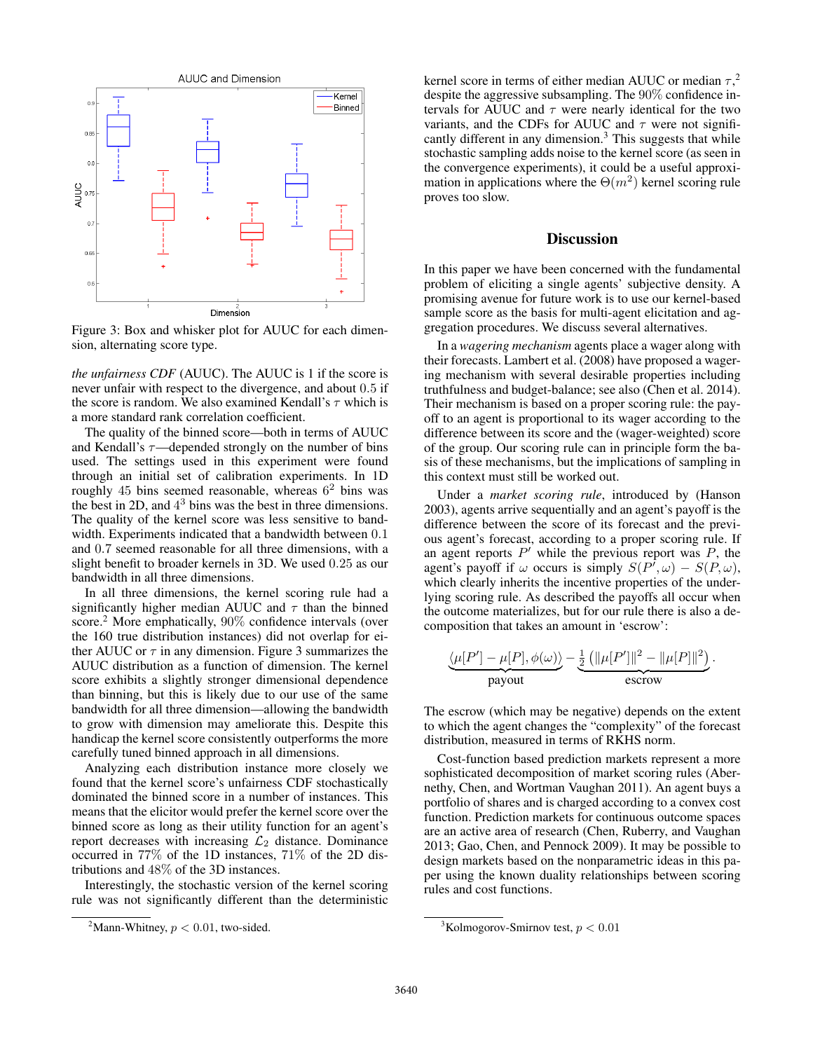

Figure 3: Box and whisker plot for AUUC for each dimension, alternating score type.

*the unfairness CDF* (AUUC). The AUUC is 1 if the score is never unfair with respect to the divergence, and about 0.5 if the score is random. We also examined Kendall's  $\tau$  which is a more standard rank correlation coefficient.

The quality of the binned score—both in terms of AUUC and Kendall's  $\tau$ —depended strongly on the number of bins used. The settings used in this experiment were found through an initial set of calibration experiments. In 1D roughly  $45$  bins seemed reasonable, whereas  $6<sup>2</sup>$  bins was the best in 2D, and  $4<sup>3</sup>$  bins was the best in three dimensions. The quality of the kernel score was less sensitive to bandwidth. Experiments indicated that a bandwidth between 0.1 and 0.7 seemed reasonable for all three dimensions, with a slight benefit to broader kernels in 3D. We used 0.25 as our bandwidth in all three dimensions.

In all three dimensions, the kernel scoring rule had a significantly higher median AUUC and  $\tau$  than the binned score.<sup>2</sup> More emphatically, 90% confidence intervals (over the 160 true distribution instances) did not overlap for either AUUC or  $\tau$  in any dimension. Figure 3 summarizes the AUUC distribution as a function of dimension. The kernel score exhibits a slightly stronger dimensional dependence than binning, but this is likely due to our use of the same bandwidth for all three dimension—allowing the bandwidth to grow with dimension may ameliorate this. Despite this handicap the kernel score consistently outperforms the more carefully tuned binned approach in all dimensions.

Analyzing each distribution instance more closely we found that the kernel score's unfairness CDF stochastically dominated the binned score in a number of instances. This means that the elicitor would prefer the kernel score over the binned score as long as their utility function for an agent's report decreases with increasing  $\mathcal{L}_2$  distance. Dominance occurred in 77% of the 1D instances, 71% of the 2D distributions and 48% of the 3D instances.

Interestingly, the stochastic version of the kernel scoring rule was not significantly different than the deterministic

kernel score in terms of either median AUUC or median  $\tau$ ,<sup>2</sup> despite the aggressive subsampling. The 90% confidence intervals for AUUC and  $\tau$  were nearly identical for the two variants, and the CDFs for AUUC and  $\tau$  were not significantly different in any dimension.<sup>3</sup> This suggests that while stochastic sampling adds noise to the kernel score (as seen in the convergence experiments), it could be a useful approximation in applications where the  $\Theta(m^2)$  kernel scoring rule proves too slow.

### **Discussion**

In this paper we have been concerned with the fundamental problem of eliciting a single agents' subjective density. A promising avenue for future work is to use our kernel-based sample score as the basis for multi-agent elicitation and aggregation procedures. We discuss several alternatives.

In a *wagering mechanism* agents place a wager along with their forecasts. Lambert et al. (2008) have proposed a wagering mechanism with several desirable properties including truthfulness and budget-balance; see also (Chen et al. 2014). Their mechanism is based on a proper scoring rule: the payoff to an agent is proportional to its wager according to the difference between its score and the (wager-weighted) score of the group. Our scoring rule can in principle form the basis of these mechanisms, but the implications of sampling in this context must still be worked out.

Under a *market scoring rule*, introduced by (Hanson 2003), agents arrive sequentially and an agent's payoff is the difference between the score of its forecast and the previous agent's forecast, according to a proper scoring rule. If an agent reports  $P'$  while the previous report was  $P$ , the agent's payoff if  $\omega$  occurs is simply  $S(P^{\dagger}, \omega) - S(P, \omega)$ , which clearly inherits the incentive properties of the underlying scoring rule. As described the payoffs all occur when the outcome materializes, but for our rule there is also a decomposition that takes an amount in 'escrow':

$$
\underbrace{\langle \mu[P'] - \mu[P], \phi(\omega) \rangle}_{\text{payout}} - \underbrace{\frac{1}{2} (\|\mu[P']\|^2 - \|\mu[P]\|^2)}_{\text{escrow}}.
$$

The escrow (which may be negative) depends on the extent to which the agent changes the "complexity" of the forecast distribution, measured in terms of RKHS norm.

Cost-function based prediction markets represent a more sophisticated decomposition of market scoring rules (Abernethy, Chen, and Wortman Vaughan 2011). An agent buys a portfolio of shares and is charged according to a convex cost function. Prediction markets for continuous outcome spaces are an active area of research (Chen, Ruberry, and Vaughan 2013; Gao, Chen, and Pennock 2009). It may be possible to design markets based on the nonparametric ideas in this paper using the known duality relationships between scoring rules and cost functions.

<sup>&</sup>lt;sup>2</sup>Mann-Whitney,  $p < 0.01$ , two-sided.

<sup>&</sup>lt;sup>3</sup>Kolmogorov-Smirnov test,  $p < 0.01$